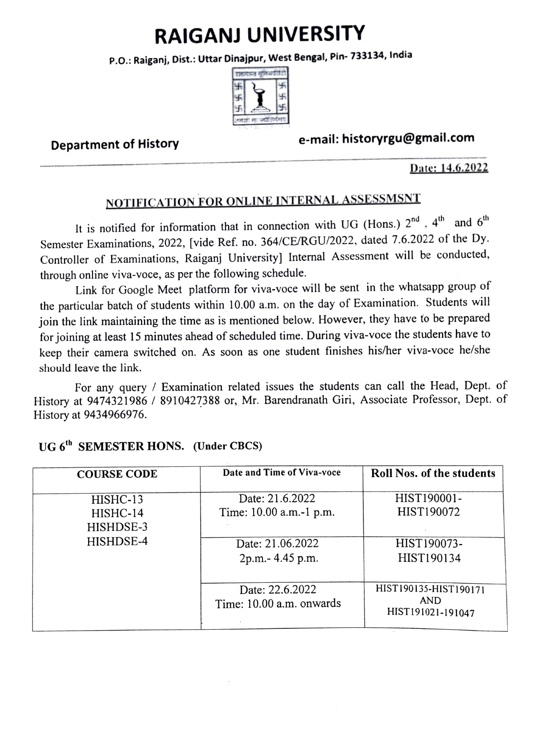# RAIGANJ UNIVERSITY

P.O.: Raiganj, Dist.: Uttar Dinajpur, West Bengal, Pin- 733134, India



## e-mail: historyrgu@gmail.com Department of History

#### Date: 14.6.2022

## NOTIFICATION FOR ONLINE INTERNAL ASSESSMSNT

It is notified for information that in connection with UG (Hons.)  $2^{nd}$ ,  $4^{th}$  and  $6^{th}$ Semester Examinations, 2022, [vide Ref. no. 364/CE/RGU/2022, dated 7.6.2022 of the Dy. Controller of Examinations, Raiganj University] Internal Assessment will be conducted, through online viva-voce, as per the following schedule.

Link for Google Meet platform for viva-voce will be sent in the whatsapp group of the particular batch of students within 10.00 a.m. on the day of Examination. Students will join the link maintaining the time as is mentioned below. However, they have to be prepared for joining at least 15 minutes ahead of scheduled time. During viva-voce the students have to keep their camera switched on. As soon as one student finishes his/her viva-voce he/she should leave the link.

For any query / Examination related issues the students can call the Head, Dept. of History at 9474321986 / 8910427388 or, Mr. Barendranath Giri, Associate Professor, Dept. of History at 9434966976.

| <b>COURSE CODE</b>                             | Date and Time of Viva-voce                                                          | <b>Roll Nos. of the students</b>                         |
|------------------------------------------------|-------------------------------------------------------------------------------------|----------------------------------------------------------|
| HISHC-13<br>HISHC-14<br>HISHDSE-3<br>HISHDSE-4 | Date: 21.6.2022<br>Time: 10.00 a.m.-1 p.m.<br>Date: 21.06.2022<br>2p.m. - 4.45 p.m. | HIST190001-<br>HIST190072<br>HIST190073-<br>HIST190134   |
|                                                | Date: 22.6.2022<br>Time: 10.00 a.m. onwards                                         | HIST190135-HIST190171<br><b>AND</b><br>HIST191021-191047 |

## UG 6<sup>th</sup> SEMESTER HONS. (Under CBCS)